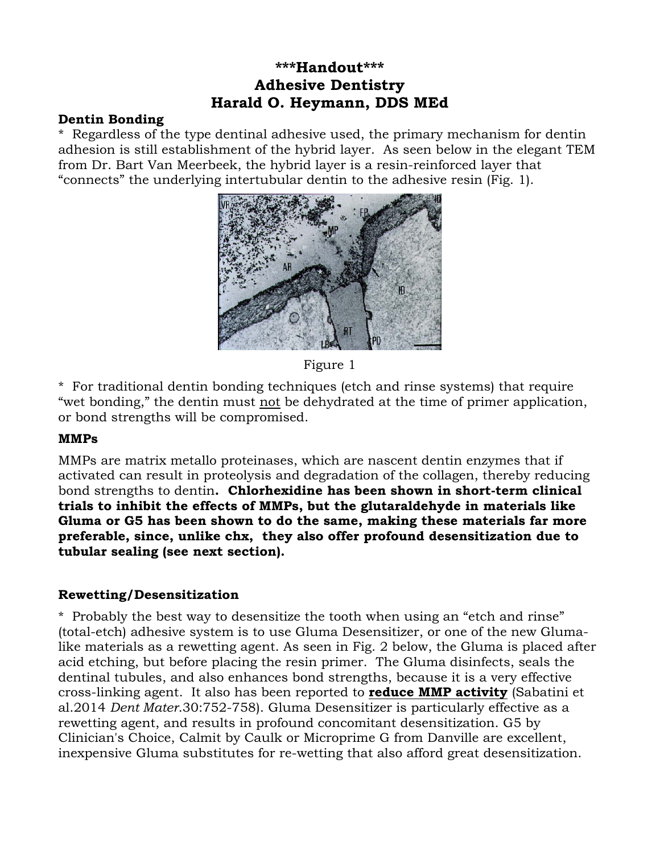# **\*\*\*Handout\*\*\* Adhesive Dentistry Harald O. Heymann, DDS MEd**

### **Dentin Bonding**

\* Regardless of the type dentinal adhesive used, the primary mechanism for dentin adhesion is still establishment of the hybrid layer. As seen below in the elegant TEM from Dr. Bart Van Meerbeek, the hybrid layer is a resin-reinforced layer that "connects" the underlying intertubular dentin to the adhesive resin (Fig. 1).



Figure 1

\* For traditional dentin bonding techniques (etch and rinse systems) that require "wet bonding," the dentin must not be dehydrated at the time of primer application, or bond strengths will be compromised.

### **MMPs**

MMPs are matrix metallo proteinases, which are nascent dentin enzymes that if activated can result in proteolysis and degradation of the collagen, thereby reducing bond strengths to dentin**. Chlorhexidine has been shown in short-term clinical trials to inhibit the effects of MMPs, but the glutaraldehyde in materials like Gluma or G5 has been shown to do the same, making these materials far more preferable, since, unlike chx, they also offer profound desensitization due to tubular sealing (see next section).** 

### **Rewetting/Desensitization**

\* Probably the best way to desensitize the tooth when using an "etch and rinse" (total-etch) adhesive system is to use Gluma Desensitizer, or one of the new Glumalike materials as a rewetting agent. As seen in Fig. 2 below, the Gluma is placed after acid etching, but before placing the resin primer. The Gluma disinfects, seals the dentinal tubules, and also enhances bond strengths, because it is a very effective cross-linking agent. It also has been reported to **reduce MMP activity** (Sabatini et al.2014 *Dent Mater*.30:752-758). Gluma Desensitizer is particularly effective as a rewetting agent, and results in profound concomitant desensitization. G5 by Clinician's Choice, Calmit by Caulk or Microprime G from Danville are excellent, inexpensive Gluma substitutes for re-wetting that also afford great desensitization.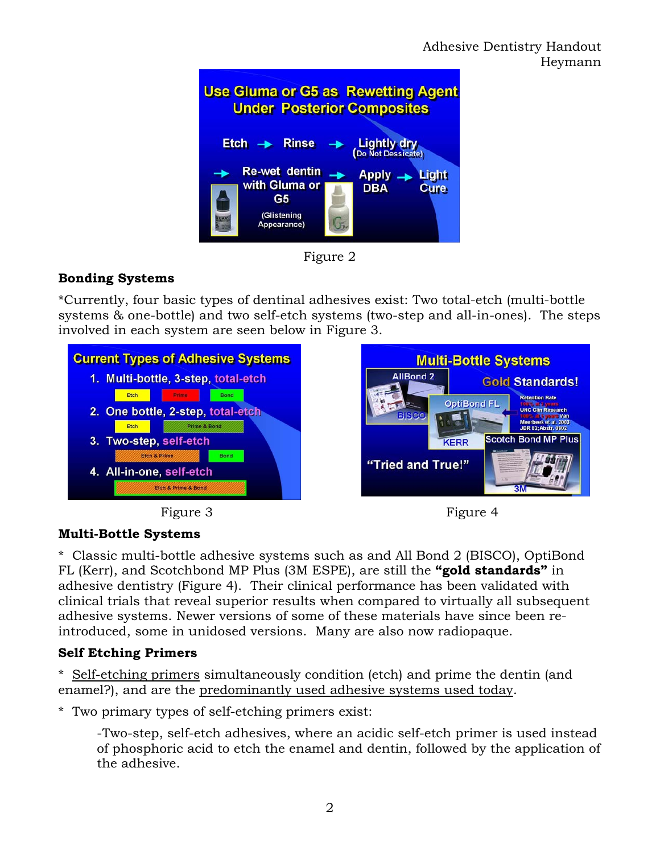

Figure 2

# **Bonding Systems**

\*Currently, four basic types of dentinal adhesives exist: Two total-etch (multi-bottle systems & one-bottle) and two self-etch systems (two-step and all-in-ones). The steps involved in each system are seen below in Figure 3.







Heymann

## **Multi-Bottle Systems**

\* Classic multi-bottle adhesive systems such as and All Bond 2 (BISCO), OptiBond FL (Kerr), and Scotchbond MP Plus (3M ESPE), are still the **"gold standards"** in adhesive dentistry (Figure 4). Their clinical performance has been validated with clinical trials that reveal superior results when compared to virtually all subsequent adhesive systems. Newer versions of some of these materials have since been reintroduced, some in unidosed versions. Many are also now radiopaque.

## **Self Etching Primers**

\* Self-etching primers simultaneously condition (etch) and prime the dentin (and enamel?), and are the predominantly used adhesive systems used today.

\* Two primary types of self-etching primers exist:

-Two-step, self-etch adhesives, where an acidic self-etch primer is used instead of phosphoric acid to etch the enamel and dentin, followed by the application of the adhesive.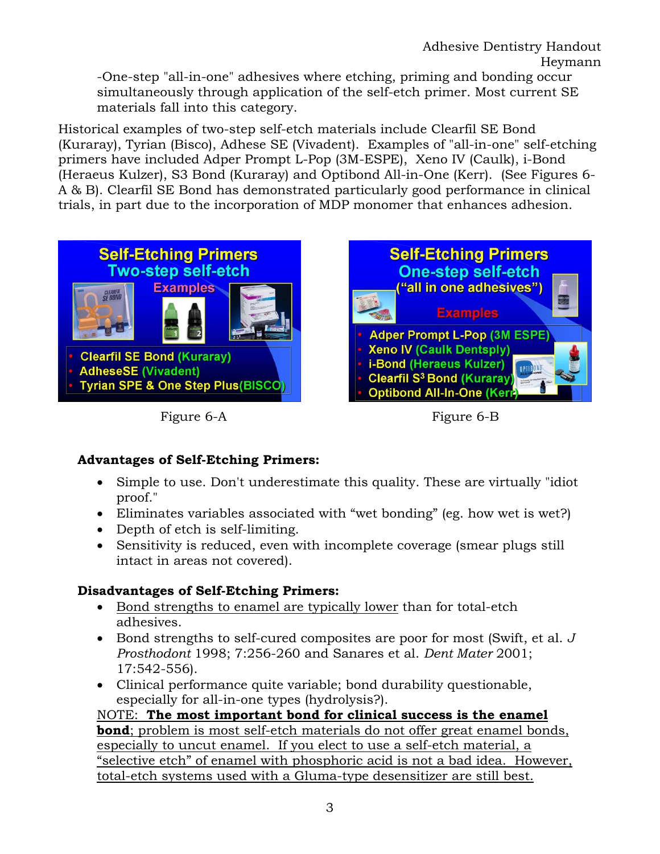Adhesive Dentistry Handout Heymann

 -One-step "all-in-one" adhesives where etching, priming and bonding occur simultaneously through application of the self-etch primer. Most current SE materials fall into this category.

Historical examples of two-step self-etch materials include Clearfil SE Bond (Kuraray), Tyrian (Bisco), Adhese SE (Vivadent). Examples of "all-in-one" self-etching primers have included Adper Prompt L-Pop (3M-ESPE), Xeno IV (Caulk), i-Bond (Heraeus Kulzer), S3 Bond (Kuraray) and Optibond All-in-One (Kerr). (See Figures 6- A & B). Clearfil SE Bond has demonstrated particularly good performance in clinical trials, in part due to the incorporation of MDP monomer that enhances adhesion.



Figure 6-A Figure 6-B



# **Advantages of Self-Etching Primers:**

- Simple to use. Don't underestimate this quality. These are virtually "idiot proof."
- Eliminates variables associated with "wet bonding" (eg. how wet is wet?)
- Depth of etch is self-limiting.
- Sensitivity is reduced, even with incomplete coverage (smear plugs still intact in areas not covered).

## **Disadvantages of Self-Etching Primers:**

- Bond strengths to enamel are typically lower than for total-etch adhesives.
- Bond strengths to self-cured composites are poor for most (Swift, et al. *J Prosthodont* 1998; 7:256-260 and Sanares et al. *Dent Mater* 2001; 17:542-556).
- Clinical performance quite variable; bond durability questionable, especially for all-in-one types (hydrolysis?).

NOTE: **The most important bond for clinical success is the enamel bond**; problem is most self-etch materials do not offer great enamel bonds, especially to uncut enamel. If you elect to use a self-etch material, a "selective etch" of enamel with phosphoric acid is not a bad idea. However, total-etch systems used with a Gluma-type desensitizer are still best.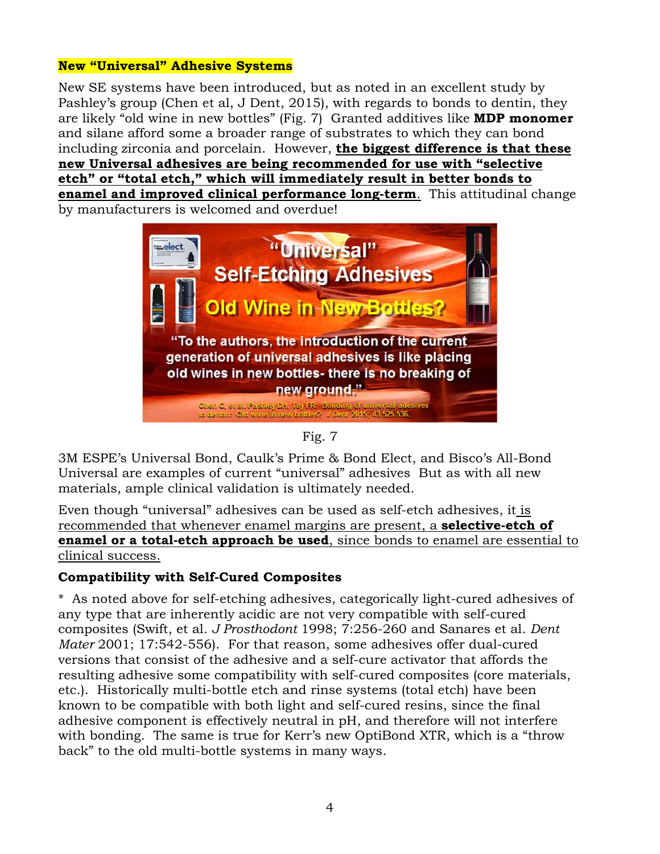#### **New "Universal" Adhesive Systems**

New SE systems have been introduced, but as noted in an excellent study by Pashley's group (Chen et al, J Dent, 2015), with regards to bonds to dentin, they are likely "old wine in new bottles" (Fig. 7) Granted additives like **MDP monomer** and silane afford some a broader range of substrates to which they can bond including zirconia and porcelain. However, **the biggest difference is that these new Universal adhesives are being recommended for use with "selective etch" or "total etch," which will immediately result in better bonds to enamel and improved clinical performance long-term**. This attitudinal change by manufacturers is welcomed and overdue!



Fig. 7

3M ESPE's Universal Bond, Caulk's Prime & Bond Elect, and Bisco's All-Bond Universal are examples of current "universal" adhesives But as with all new materials, ample clinical validation is ultimately needed.

Even though "universal" adhesives can be used as self-etch adhesives, it is recommended that whenever enamel margins are present, a **selective-etch of enamel or a total-etch approach be used**, since bonds to enamel are essential to clinical success.

### **Compatibility with Self-Cured Composites**

\* As noted above for self-etching adhesives, categorically light-cured adhesives of any type that are inherently acidic are not very compatible with self-cured composites (Swift, et al. *J Prosthodont* 1998; 7:256-260 and Sanares et al. *Dent Mater* 2001; 17:542-556). For that reason, some adhesives offer dual-cured versions that consist of the adhesive and a self-cure activator that affords the resulting adhesive some compatibility with self-cured composites (core materials, etc.). Historically multi-bottle etch and rinse systems (total etch) have been known to be compatible with both light and self-cured resins, since the final adhesive component is effectively neutral in pH, and therefore will not interfere with bonding. The same is true for Kerr's new OptiBond XTR, which is a "throw" back" to the old multi-bottle systems in many ways.